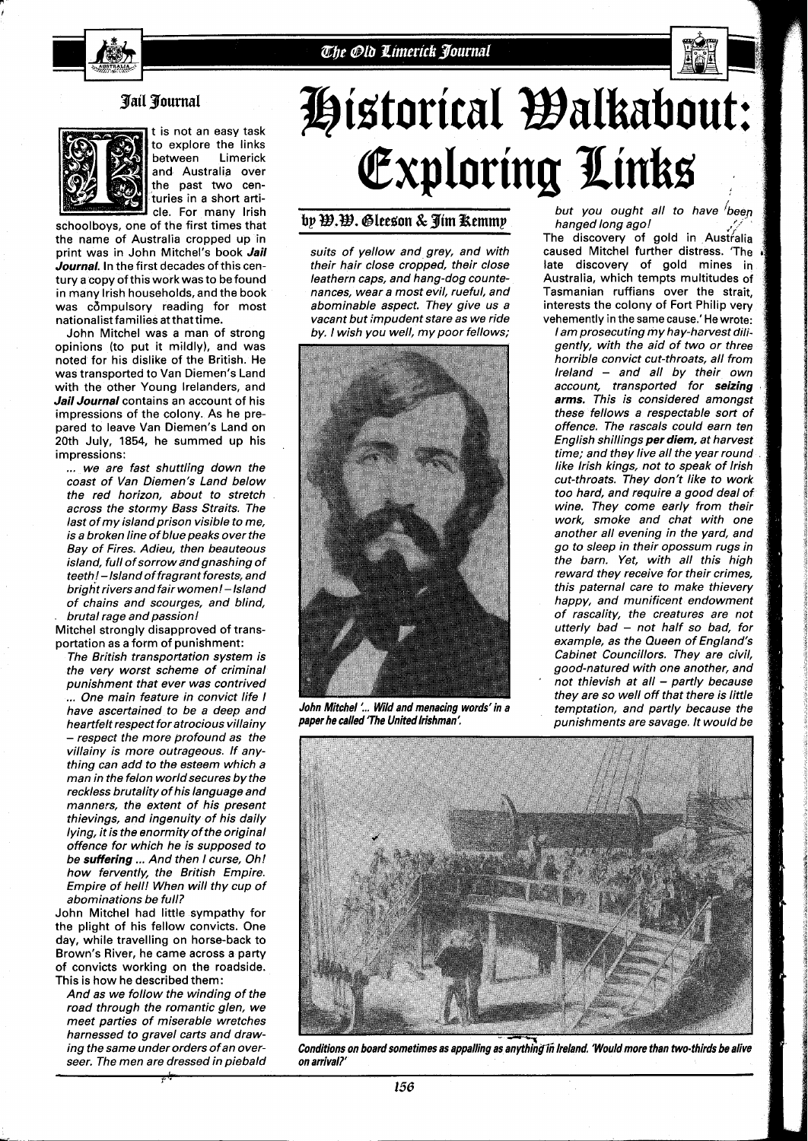



## *pail pourna1*



t is not an easy task to explore the links<br>hetween Limerick between and Australia over the past two centuries in a short article. For manv lrish

schoolboys, one of the first times that the name of Australia cropped up in print was in John Mitchel's book **Jail Journal.** In the first decades of this century a copy of this work was to be found in many lrish households, and the book was compulsory reading for most nationalist families at thattime.

John Mitchel was a man of strong opinions (to put it mildly), and was noted for his dislike of the British. He was transported to Van Diemen's Land with the other Young Irelanders, and **Jail Journal** contains an account of his impressions of the colony. As he prepared to leave Van Diemen's Land on 20th July, 1854, he summed up his impressions:

... we are fast shuttling down the coast of Van Diemen's Land below the red horizon, about to stretch across the stormy Bass Straits. The last of my island prison visible to me, is a broken line of blue peaks over the Bay of Fires. Adieu, then beauteous island, full of sorrow andgnashing of teeth! - Island of fragrant forests, and bright rivers and fair women! - Island of chains and scourges, and blind, brutal rage and passion!

Mitchel strongly disapproved of transportation as a form of punishment:

The British transportation system is the very worst scheme of criminal punishment that ever was contrived ... One main feature in convict life I have ascertained to be a deep and heartfelt respect for atrocious villainy - respect the more profound as the villainy is more outrageous. If anything can add to the esteem which a man in the felon world secures by the reckless brutality of his language and manners, the extent of his present thievings, and ingenuity of his daily lying, it is the enormity of the original offence for which he is supposed to be **suffering** ... And then I curse, Oh! how fervently, the British Empire. Empire of hell! When will thy cup of abominations be full?

John Mitchel had little sympathy for the plight of his fellow convicts. One day, while travelling on horse-back to Brown's River, he came across a party of convicts working on the roadside. This is how he described them:

And as we follow the winding of the road through the romantic glen, we meet parties of miserable wretches harnessed to gravel carts and drawing the same under orders of an overseer. The men are dressed in piebald

# Historical Walkabout: Exploring Links

## by W.W. Gleeson & Jim Remmy

suits of yellow and grey, and with their hair close cropped, their close leathern caps, and hang-dog countenances, wear a most evil, rueful, and abominable aspect. They give us a vacant but impudent stare as we ride by. I wish you well, my poor fellows;



**John Mitchel** '... **Wild and menacing words' in a paper he called 'The United Irishman'.** 

but you ought all to have been<br>hanged long ago!

The discovery of gold in Australia caused Mitchel further distress. 'The late discovery of gold mines in Australia, which tempts multitudes of Tasmanian ruffians over the strait, interests the colony of Fort Philip very vehemently in the same cause.' He wrote:

I am prosecuting my hay-harvest diligently, with the aid of two or three horrible convict cut-throats, all from Ireland - and all by their own account, transported for **seizing arms.** This is considered amongst these fellows a respectable sort of offence. The rascals could earn ten English shillings **per diem,** at harvest time; and they live all the year round like lrish kings, not to speak of lrish cut-throats. They don't like to work too hard, and require a good deal of wine. They come early from their work, smoke and chat with one another all evening in the yard, and go to sleep in their opossum rugs in the barn. Yet, with all this high reward they receive for their crimes, this paternal care to make thievery happy, and munificent endowment of rascality, the creatures are not utterly bad  $-$  not half so bad, for example, as the Queen of England's Cabinet Councillors. They are civil, good-natured with one another, and not thievish at all  $-$  partly because they are so well off that there is little temptation, and partly because the punishments are savage. It would be



**Conditions on board sometimes as appalling as anything in Ireland. 'Would more than two-thirds be alive on arrival?'**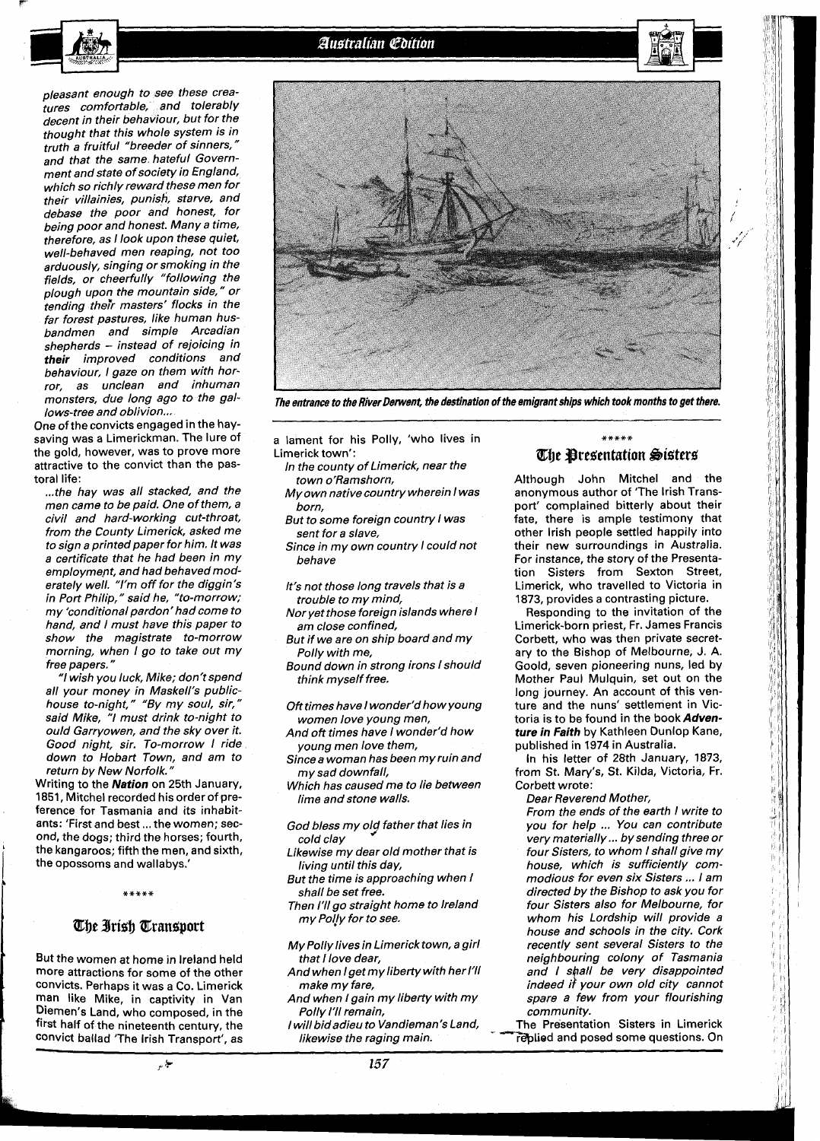pleasant enough to see these creatures comfortable, and tolerably decent in their behaviour, but for the thought that this whole system is in truth a fruitful "breeder of sinners, and that the same hateful Government and state of society in England, which so richly reward these men for heir villainies, punish, starve, and debase the poor and honest, for being poor and honest. Many a time, therefore, as I look upon these quiet, well-behaved men reaping, not too arduously, singing or smoking in the fields, or cheerfully "following the plough upon the mountain side," or tending their masters' flocks in the far forest pastures, like human husbandmen and simple Arcadian shepherds - instead of rejoicing in **their** improved conditions and behaviour, I gaze on them with horror, as unclean and inhuman monsters, due long ago to the gallows-tree and oblivion...

One of the convicts engaged in the haysaving was a Limerickman. The lure of the gold, however, was to prove more attractive to the convict than the pastoral life:

... the hay was all stacked, and the men came to be paid. One of them, a civil and hard-working cut-throat, from the County Limerick, asked me to sign a printed paper for him. It was a certificate that he had been in my employment, and had behaved moderately well. "I'm off for the diggin's in Port Philip, " said he, "to-morrow; my 'conditional pardon' had come to hand, and I must have this paper to show the magistrate to-morrow morning, when I go to take out my free papers. "

"I wish you luck, Mike; don't spend all your money in Maskell's publichouse to-night," "By my soul, sir," said Mike, "I must drink to-night to ould Garryowen, and the sky over it. Good night, sir. To-morrow I ride down to Hobart Town, and am to return by New Norfolk. "

Writing to the **Nation** on 25th January, 1851, Mitchel recorded his order of preference for Tasmania and its inhabitants: 'First and best ... the women; second, the dogs; third the horses; fourth, the kangaroos; fifth the men, and sixth, the opossoms and wallabys.'



## The Irish Transport

But the women at home in Ireland held more attractions for some of the other convicts. Perhaps it was a Co. Limerick man like Mike, in captivity in Van Diemen's Land, who composed, in the first half of the nineteenth century, the convict ballad 'The lrish Transport', as



**The entrance to the River Derwent, the destination of the emigrant ships which took months to get there.** 

- a lament for his Polly, 'who lives in Limerick town':
	- In the county of Limerick, near the town o'Ramshorn, My own native country wherein I was
	- born, But to some foreign country I was sent for a slave,
	- Since in my own country I could not behave
	- It's not those long travels that is a trouble to my mind,
	- Nor yet those foreign islands where I am close confined,
	- But if we are on ship board and my Polly with me,
	- Bound down in strong irons I should think myself free.
	- Oft times have I wonder'd how young women love young men,
	- And oft times have I wonder'd how young men love them,
	- Since a woman has been my ruin and my sad downfall,
	- Which has caused me to lie between lime and stone walls.
	- God bless my old father that lies in cold clay
	- Likewise my dear old mother that is living until this day,
	- But the time is approaching when I shall be set free.
	- Then I'll go straight home to lreland my Po!ly for to see.
	- My Polly lives in Limerick town, a girl that I love dear,
	- And when Iget my liberty with her 1'11 make my fare,
	- And when I gain my liberty with my Polly I'll remain,
	- I will bidadieu to Vandieman's Land,

### \*\*\*\*\* The Presentation Sisters

Although John Mitchel and the anonymous author of 'The lrish Transport' complained bitterly about their fate, there is ample testimony that other lrish people settled happily into their new surroundings in Australia. For instance, the story of the Presentation Sisters from Sexton Street, Limerick, who travelled to Victoria in 1873, provides a contrasting picture.

Responding to the invitation of the Limerick-born priest, Fr. James Francis Corbett, who was then private secretary to the Bishop of Melbourne, J. A. Goold, seven pioneering nuns, led by Mother Paul Mulquin, set out on the long journey. An account of this venture and the nuns' settlement in Victoria is to be found in the book **Adventure in Faith** by Kathleen Dunlop Kane, published in 1974 in Australia.

In his letter of 28th January, 1873, from St. Mary's, St. Kilda, Victoria, Fr. Corbett wrote:

Dear Reverend Mother,

From the ends of the earth I write to you for help ... You can contribute very materially ... by sending three or four Sisters, to whom I shall give my house, which is sufficiently commodious for even six Sisters ... I am directed by the Bishop to ask you for four Sisters also for Melbourne, for whom his Lordship will provide a house and schools in the city. Cork recently sent several Sisters to the neighbouring colony of Tasmania and I shall be very disappointed indeed if your own old city cannot spare a few from your flourishing community.

The Presentation Sisters in Limerick likewise the raging main. The replied and posed some questions. On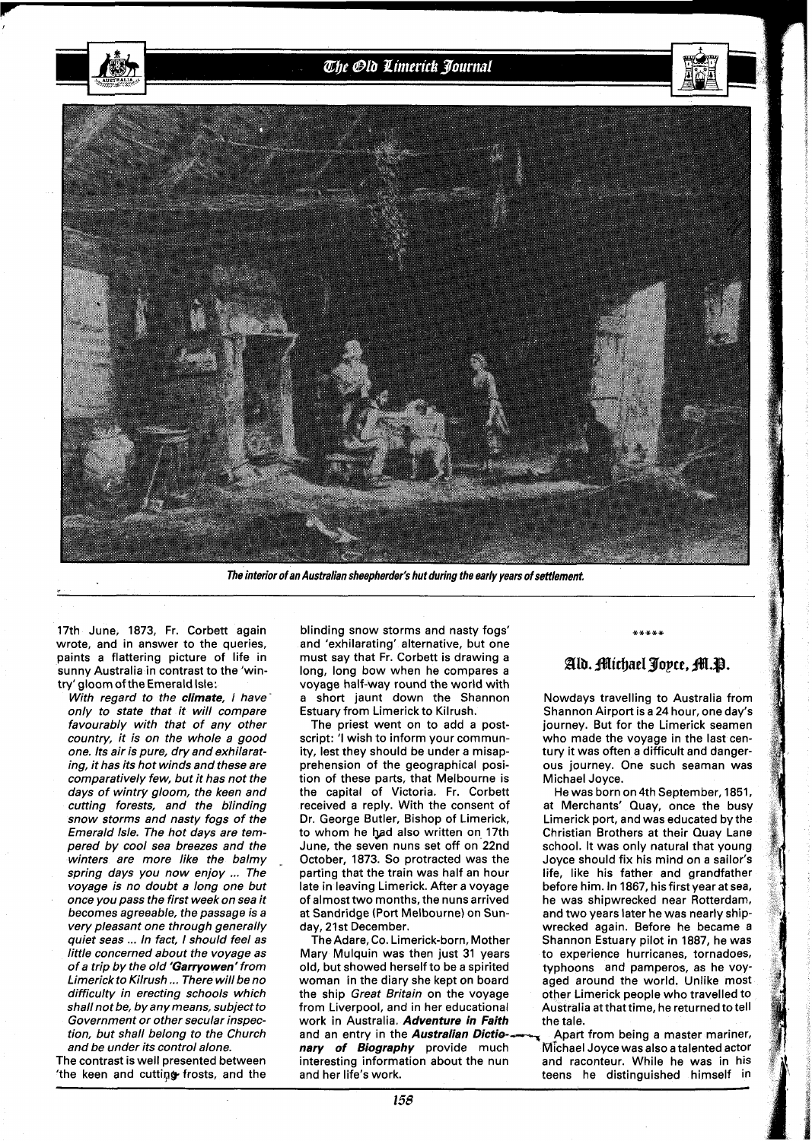

The interior of an Australian sheepherder's hut during the early years of settlement,

17th June, 1873, Fr. Corbett again wrote, and in answer to the queries, paints a flattering picture of life in sunny Australia in contrast to the 'wintry' gloom of the Emerald Isle:

With regard to the climate, I have only to state that it will compare favourably with that of any other country, it is on the whole a good one. Its air is pure, dry and exhilarating, it has its hot winds and these are comparatively few, but it has not the days of wintry gloom, the keen and cutting forests, and the blinding snow storms and nasty fogs of the Emerald Isle. The hot days are tempered by cool sea breezes and the winters are more like the balmy spring days you now enjoy ... The voyage is no doubt a long one but once you pass the first week on sea it becomes agreeable, the passage is a very pleasant one through generally quiet seas ... In fact, I should feel as little concerned about the voyage as of a trip by the old 'Garryowen' from Limerick to Kilrush ... There will be no difficulty in erecting schools which shall not be, by any means, subject to Government or other secular inspection, but shall belong to the Church and be under its control alone.

The contrast is well presented between 'the keen and cutting frosts, and the

blinding snow storms and nasty fogs' and 'exhilarating' alternative, but one must say that Fr. Corbett is drawing a long, long bow when he compares a voyage half-way round the world with a short jaunt down the Shannon Estuary from Limerick to Kilrush.

The priest went on to add a postscript: 'I wish to inform your community, lest they should be under a misapprehension of the geographical position of these parts, that Melbourne is the capital of Victoria. Fr. Corbett received a reply. With the consent of Dr. George Butler, Bishop of Limerick, to whom he had also written on 17th June, the seven nuns set off on 22nd October, 1873. So protracted was the parting that the train was half an hour late in leaving Limerick. After a voyage of almost two months, the nuns arrived at Sandridge (Port Melbourne) on Sunday, 21st December.

The Adare, Co. Limerick-born, Mother Mary Mulquin was then just 31 years old, but showed herself to be a spirited woman in the diary she kept on board the ship Great Britain on the voyage from Liverpool, and in her educational work in Australia. Adventure in Faith and an entry in the **Australian Dictio--- Apart from being a master mariner,**<br>**nary of Biography** provide much Michael Joyce was also a talented actor interesting information about the nun and raconteur. While he was in his and her life's work.

## Ald. Michael Joyce, M.P.

Nowdays travelling to Australia from Shannon Airport is a 24 hour, one day's journey. But for the Limerick seamen who made the voyage in the last century it was often a difficult and dangerous journey. One such seaman was Michael Joyce.

He was born on 4th September, 1851, at Merchants' Quay, once the busy Limerick port, and was educated by the Christian Brothers at their Quay Lane school. It was only natural that young Joyce should fix his mind on a sailor's life, like his father and grandfather before him. In 1867, his first year at sea, he was shipwrecked near Rotterdam, and two years later he was nearly shipwrecked again. Before he became a Shannon Estuary pilot in 1887, he was to experience hurricanes, tornadoes, typhoons and pamperos, as he voyaged around the world. Unlike most other Limerick people who travelled to Australia atthattime, he returned to tell the tale.

Michael Joyce was also a talented actor teens he distinguished himself in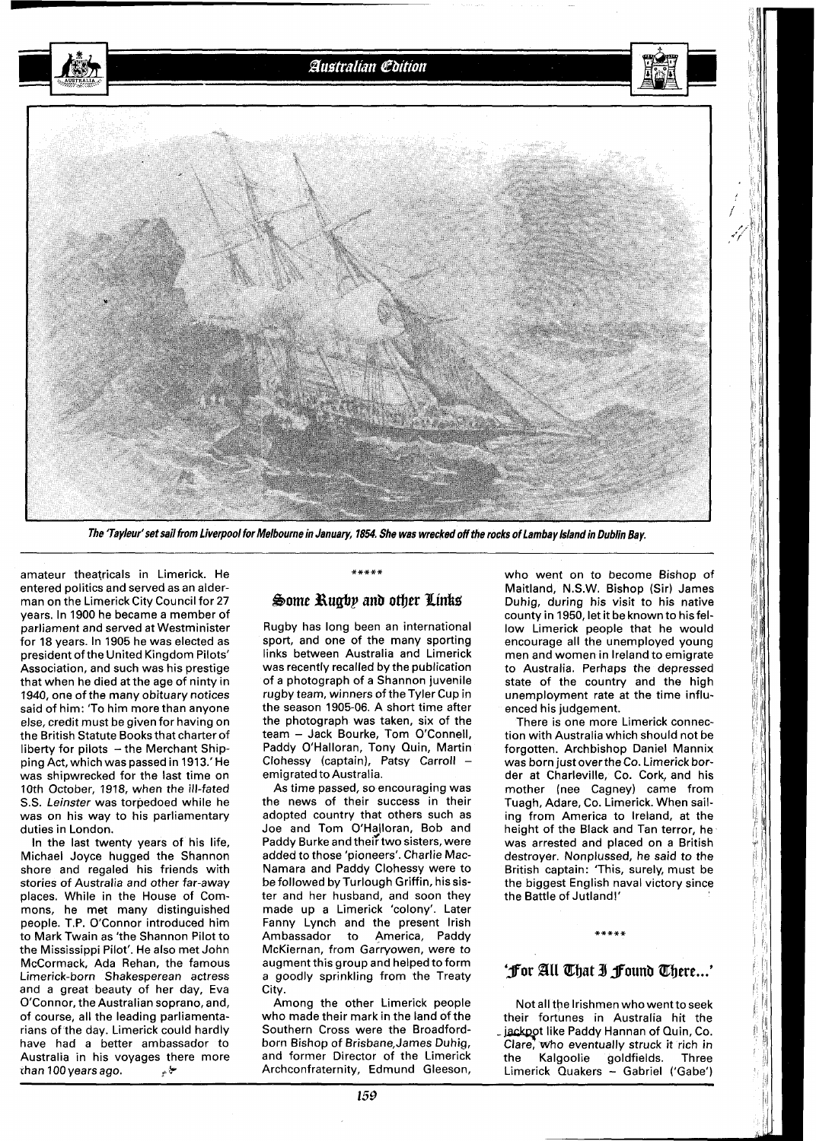

**The 'Tayleur'set sail from Liverpool for Melbourne in January, 1854. She was wrecked off the rocks of Lambay lslandin Dublin Bay.** 

amateur theatricals in Limerick. He entered politics and served as an alderman on the Limerick City Council for 27 years. In 1900 he became a member of parliament and served at Westminister for 18 years. In 1905 he was elected as president of the United Kingdom Pilots' Association, and such was his prestige that when he died at the age of ninty in 1940, one of the many obituary notices said of him: 'To him more than anyone else, credit must be given for having on the British Statute Books that charter of liberty for pilots  $-$  the Merchant Shipping Act, which was passed in 1913.'He was shipwrecked for the last time on 10th October, 1918, when the ill-fated S.S. Leinster was torpedoed while he was on his way to his parliamentary duties in London.

In the last twenty years of his life, Michael Joyce hugged the Shannon shore and regaled his friends with stories of Australia and other far-away places. While in the House of Commons, he met many distinguished people. T.P. O'Connor introduced him to Mark Twain as 'the Shannon Pilot to the Mississippi Pilot'. He also met John McCormack, Ada Rehan, the famous Limerick-born Shakesperean actress and a great beauty of her day, Eva O'Connor, the Australian soprano, and, of course, all the leading parliamentarians of the day. Limerick could hardly have had a better ambassador to Australia in his voyages there more<br>than 100 years ago. than 100 years ago.

#### \*\*\*\*\*

#### **Borne Bugbp** *anb* **omer Pink\$**

Rugby has long been an international sport, and one of the many sporting links between Australia and Limerick was recently recalled by the publication of a photograph of a Shannon juvenile rugby team, winners of the Tyler Cup in the season 1905-06. A short time after the photograph was taken, six of the team - Jack Bourke, Tom O'Connell, Paddy O'Halloran, Tony Quin, Martin Clohessy (captain), Patsy Carroll emigrated to Australia.

As time passed, so encouraging was the news of their success in their adopted country that others such as Joe and Tom O'Halloran, Bob and Paddy Burke and their two sisters, were added to those 'pioneers'. Charlie Mac-Namara and Paddy Clohessy were to be followed by Turlough Griffin, hissister and her husband, and soon they made up a Limerick 'colony'. Later Fanny Lynch and the present Irish Ambassador to America, Paddy McKiernan, from Garryowen, were to augment this group and helped to form a goodly sprinkling from the Treaty City.

Among the other Limerick people who made their mark in the land of the Southern Cross were the Broadfordborn Bishop of Brisbane,James Duhig, and former Director of the Limerick Archconfraternity, Edmund Gleeson,

who went on to become Bishop of Maitland, N.S.W. Bishop (Sir) James Duhig, during his visit to his native county in 1950, let it be known to hisfellow Limerick people that he would encourage all the unemployed young men and women in Ireland to emigrate to Australia. Perhaps the depressed state of the country and the high unemployment rate at the time influenced his judgement.

There is one more Limerick connection with Australia which should not be forgotten. Archbishop Daniel Mannix was born just overthe Co. Limerick border at Charleville, Co. Cork, and his mother (nee Cagney) came from Tuagh, Adare, Co. Limerick. When sailing from America to Ireland, at the height of the Black and Tan terror, he was arrested and placed on a British destroyer. Nonplussed, he said to the British captain: 'This, surely, must be the biggest English naval victory since the Battle of Jutland!'

## 'For All That I Found There...'

Not all the Irishmen who wentto seek their fortunes in Australia hit the . jackpot like Paddy Hannan of Quin, Co. Clare, who eventually struck it rich in<br>the Kalgoolie goldfields. Three the Kalgoolie goldfields. Three Limerick Quakers - Gabriel ('Gabe')